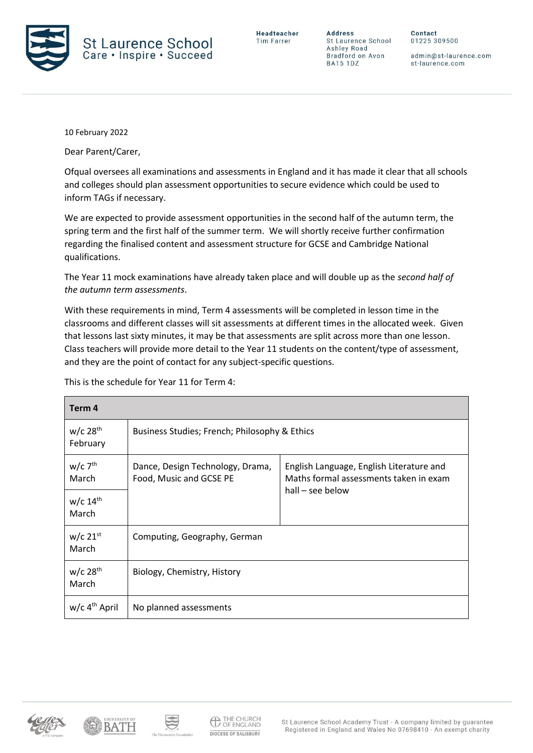

**Address** St Laurence School Ashley Road Bradford on Avon **BA15 1DZ** 

Contact 01225 309500

admin@st-laurence.com st-laurence.com

10 February 2022

Dear Parent/Carer,

Ofqual oversees all examinations and assessments in England and it has made it clear that all schools and colleges should plan assessment opportunities to secure evidence which could be used to inform TAGs if necessary.

We are expected to provide assessment opportunities in the second half of the autumn term, the spring term and the first half of the summer term. We will shortly receive further confirmation regarding the finalised content and assessment structure for GCSE and Cambridge National qualifications.

The Year 11 mock examinations have already taken place and will double up as the *second half of the autumn term assessments*.

With these requirements in mind, Term 4 assessments will be completed in lesson time in the classrooms and different classes will sit assessments at different times in the allocated week. Given that lessons last sixty minutes, it may be that assessments are split across more than one lesson. Class teachers will provide more detail to the Year 11 students on the content/type of assessment, and they are the point of contact for any subject-specific questions.

This is the schedule for Year 11 for Term 4:

| Term 4                                                            |                                                             |                                                                                                        |  |  |
|-------------------------------------------------------------------|-------------------------------------------------------------|--------------------------------------------------------------------------------------------------------|--|--|
| $w/c$ 28 <sup>th</sup><br>February                                | Business Studies; French; Philosophy & Ethics               |                                                                                                        |  |  |
| $W/C$ 7 <sup>th</sup><br>March<br>$w/c$ 14 <sup>th</sup><br>March | Dance, Design Technology, Drama,<br>Food, Music and GCSE PE | English Language, English Literature and<br>Maths formal assessments taken in exam<br>hall – see below |  |  |
| $w/c$ 21st<br>March                                               | Computing, Geography, German                                |                                                                                                        |  |  |
| $w/c$ 28 <sup>th</sup><br>March                                   | Biology, Chemistry, History                                 |                                                                                                        |  |  |
| $w/c$ 4 <sup>th</sup> April                                       | No planned assessments                                      |                                                                                                        |  |  |



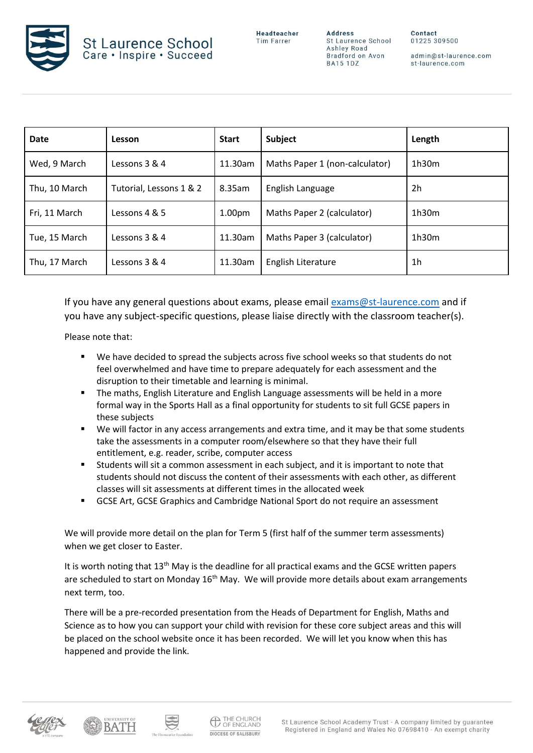

**Address** St Laurence School Ashley Road Bradford on Avon **BA15 1DZ** 

admin@st-laurence.com st-laurence.com

| <b>Date</b>   | Lesson                  | <b>Start</b>       | Subject                        | Length         |
|---------------|-------------------------|--------------------|--------------------------------|----------------|
| Wed, 9 March  | Lessons 3 & 4           | 11.30am            | Maths Paper 1 (non-calculator) | 1h30m          |
| Thu, 10 March | Tutorial, Lessons 1 & 2 | 8.35am             | English Language               | 2h             |
| Fri, 11 March | Lessons 4 & 5           | 1.00 <sub>pm</sub> | Maths Paper 2 (calculator)     | 1h30m          |
| Tue, 15 March | Lessons 3 & 4           | 11.30am            | Maths Paper 3 (calculator)     | 1h30m          |
| Thu, 17 March | Lessons 3 & 4           | 11.30am            | English Literature             | 1 <sub>h</sub> |

If you have any general questions about exams, please email [exams@st-laurence.com](mailto:exams@st-laurence.com) and if you have any subject-specific questions, please liaise directly with the classroom teacher(s).

Please note that:

- We have decided to spread the subjects across five school weeks so that students do not feel overwhelmed and have time to prepare adequately for each assessment and the disruption to their timetable and learning is minimal.
- **■** The maths, English Literature and English Language assessments will be held in a more formal way in the Sports Hall as a final opportunity for students to sit full GCSE papers in these subjects
- We will factor in any access arrangements and extra time, and it may be that some students take the assessments in a computer room/elsewhere so that they have their full entitlement, e.g. reader, scribe, computer access
- Students will sit a common assessment in each subject, and it is important to note that students should not discuss the content of their assessments with each other, as different classes will sit assessments at different times in the allocated week
- GCSE Art, GCSE Graphics and Cambridge National Sport do not require an assessment

We will provide more detail on the plan for Term 5 (first half of the summer term assessments) when we get closer to Easter.

It is worth noting that 13<sup>th</sup> May is the deadline for all practical exams and the GCSE written papers are scheduled to start on Monday  $16<sup>th</sup>$  May. We will provide more details about exam arrangements next term, too.

There will be a pre-recorded presentation from the Heads of Department for English, Maths and Science as to how you can support your child with revision for these core subject areas and this will be placed on the school website once it has been recorded. We will let you know when this has happened and provide the link.